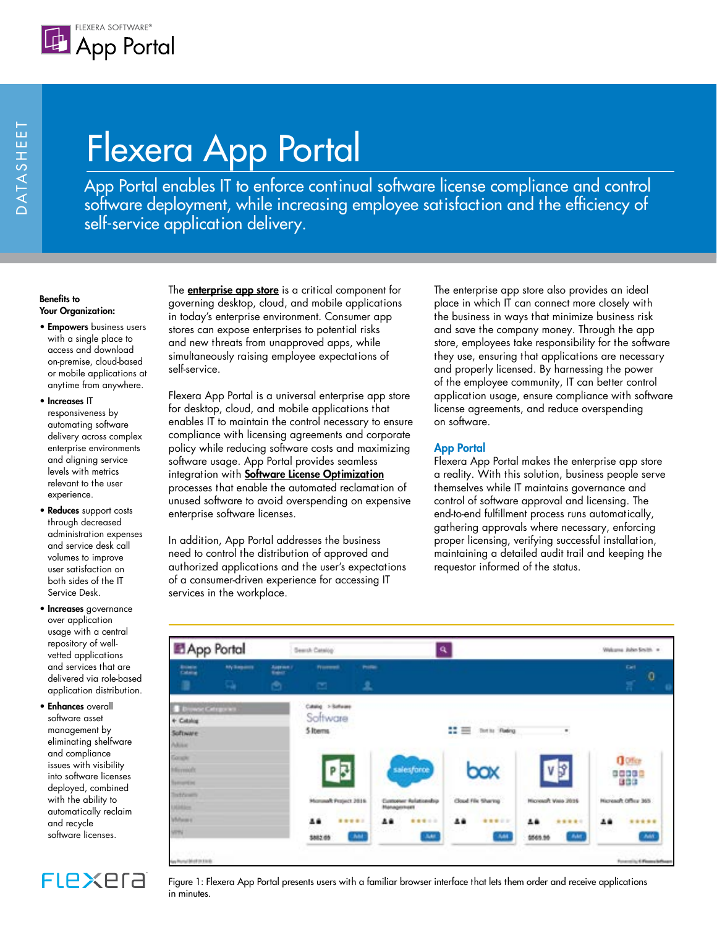

# Flexera App Portal

App Portal enables IT to enforce continual software license compliance and control software deployment, while increasing employee satisfaction and the efficiency of self-service application delivery.

#### Benefits to Your Organization:

- Empowers business users with a single place to access and download on-premise, cloud-based or mobile applications at anytime from anywhere.
- Increases IT responsiveness by automating software delivery across complex enterprise environments and aligning service levels with metrics relevant to the user experience.
- Reduces support costs through decreased administration expenses and service desk call volumes to improve user satisfaction on both sides of the IT Service Desk.
- Increases governance over application usage with a central repository of wellvetted applications and services that are delivered via role-based application distribution.
- Enhances overall software asset management by eliminating shelfware and compliance issues with visibility into software licenses deployed, combined with the ability to automatically reclaim and recycle software licenses.

**FLEXEra** 

The **[enterprise app store](http://www.flexerasoftware.com/enterprise/products/software-license-management/app-portal-enterprise-app-store/)** is a critical component for governing desktop, cloud, and mobile applications in today's enterprise environment. Consumer app stores can expose enterprises to potential risks and new threats from unapproved apps, while simultaneously raising employee expectations of self-service.

Flexera App Portal is a universal enterprise app store for desktop, cloud, and mobile applications that enables IT to maintain the control necessary to ensure compliance with licensing agreements and corporate policy while reducing software costs and maximizing software usage. App Portal provides seamless integration with **[Software License Optimization](http://www.flexerasoftware.com/enterprise/products/software-license-management/)** processes that enable the automated reclamation of unused software to avoid overspending on expensive enterprise software licenses.

In addition, App Portal addresses the business need to control the distribution of approved and authorized applications and the user's expectations of a consumer-driven experience for accessing IT services in the workplace.

The enterprise app store also provides an ideal place in which IT can connect more closely with the business in ways that minimize business risk and save the company money. Through the app store, employees take responsibility for the software they use, ensuring that applications are necessary and properly licensed. By harnessing the power of the employee community, IT can better control application usage, ensure compliance with software license agreements, and reduce overspending on software.

# App Portal

Flexera App Portal makes the enterprise app store a reality. With this solution, business people serve themselves while IT maintains governance and control of software approval and licensing. The end-to-end fulfillment process runs automatically, gathering approvals where necessary, enforcing proper licensing, verifying successful installation, maintaining a detailed audit trail and keeping the requestor informed of the status.



Figure 1: Flexera App Portal presents users with a familiar browser interface that lets them order and receive applications in minutes.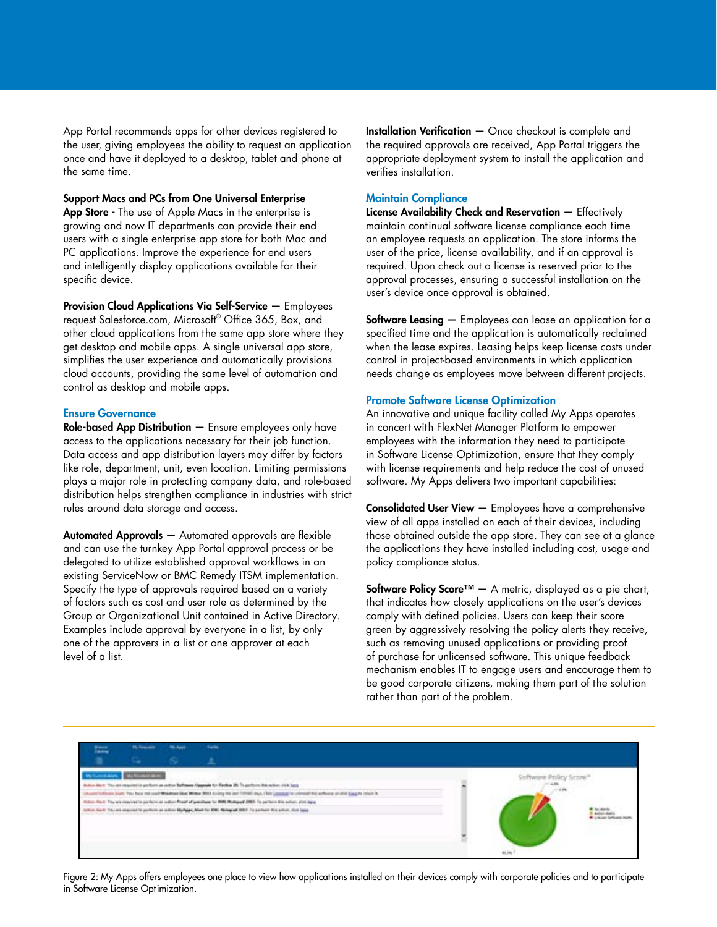App Portal recommends apps for other devices registered to the user, giving employees the ability to request an application once and have it deployed to a desktop, tablet and phone at the same time.

Support Macs and PCs from One Universal Enterprise App Store - The use of Apple Macs in the enterprise is growing and now IT departments can provide their end users with a single enterprise app store for both Mac and PC applications. Improve the experience for end users and intelligently display applications available for their specific device.

Provision Cloud Applications Via Self-Service — Employees request Salesforce.com, Microsoft® Office 365, Box, and other cloud applications from the same app store where they get desktop and mobile apps. A single universal app store, simplifies the user experience and automatically provisions cloud accounts, providing the same level of automation and control as desktop and mobile apps.

### Ensure Governance

Role-based App Distribution — Ensure employees only have access to the applications necessary for their job function. Data access and app distribution layers may differ by factors like role, department, unit, even location. Limiting permissions plays a major role in protecting company data, and role-based distribution helps strengthen compliance in industries with strict rules around data storage and access.

Automated Approvals — Automated approvals are flexible and can use the turnkey App Portal approval process or be delegated to utilize established approval workflows in an existing ServiceNow or BMC Remedy ITSM implementation. Specify the type of approvals required based on a variety of factors such as cost and user role as determined by the Group or Organizational Unit contained in Active Directory. Examples include approval by everyone in a list, by only one of the approvers in a list or one approver at each level of a list.

Installation Verification — Once checkout is complete and the required approvals are received, App Portal triggers the appropriate deployment system to install the application and verifies installation.

# Maintain Compliance

License Availability Check and Reservation — Effectively maintain continual software license compliance each time an employee requests an application. The store informs the user of the price, license availability, and if an approval is required. Upon check out a license is reserved prior to the approval processes, ensuring a successful installation on the user's device once approval is obtained.

**Software Leasing**  $-$  Employees can lease an application for a specified time and the application is automatically reclaimed when the lease expires. Leasing helps keep license costs under control in project-based environments in which application needs change as employees move between different projects.

#### Promote Software License Optimization

An innovative and unique facility called My Apps operates in concert with FlexNet Manager Platform to empower employees with the information they need to participate in Software License Optimization, ensure that they comply with license requirements and help reduce the cost of unused software. My Apps delivers two important capabilities:

Consolidated User View — Employees have a comprehensive view of all apps installed on each of their devices, including those obtained outside the app store. They can see at a glance the applications they have installed including cost, usage and policy compliance status.

Software Policy Score<sup>™</sup>  $-$  A metric, displayed as a pie chart, that indicates how closely applications on the user's devices comply with defined policies. Users can keep their score green by aggressively resolving the policy alerts they receive, such as removing unused applications or providing proof of purchase for unlicensed software. This unique feedback mechanism enables IT to engage users and encourage them to be good corporate citizens, making them part of the solution rather than part of the problem.

| ш                                                                                                                                                                                                                                 | <b>McAnada</b> | <b>SALAMA</b> | <b>Sales</b> |                  |
|-----------------------------------------------------------------------------------------------------------------------------------------------------------------------------------------------------------------------------------|----------------|---------------|--------------|------------------|
|                                                                                                                                                                                                                                   |                |               |              |                  |
| <b>Cay for more and </b><br>This art consisted to preferris an author Barbanan Upganian for Finalisa 20. To perfects this outlook state                                                                                           |                |               |              |                  |
| from our fits have not used Makhan day Milke 2013 to keep the set 19760 days. Our <sub>command</sub> or crimed the scheme at child gaught must be                                                                                 |                |               |              |                  |
|                                                                                                                                                                                                                                   |                |               |              |                  |
| Adon Red. Tay as risplant to proferre at adjustment of partition to 1096 Motograf 2007. To particle the action, and Japan.<br>Interchief, Tay and angular to pyrther, as a door MyAgan, Martine 2001. Newspark 2007. To perhaps t |                |               |              | Loward behave he |
|                                                                                                                                                                                                                                   |                |               |              | 39 M.C. 20       |
|                                                                                                                                                                                                                                   |                |               |              |                  |
|                                                                                                                                                                                                                                   |                |               |              |                  |

Figure 2: My Apps offers employees one place to view how applications installed on their devices comply with corporate policies and to participate in Software License Optimization.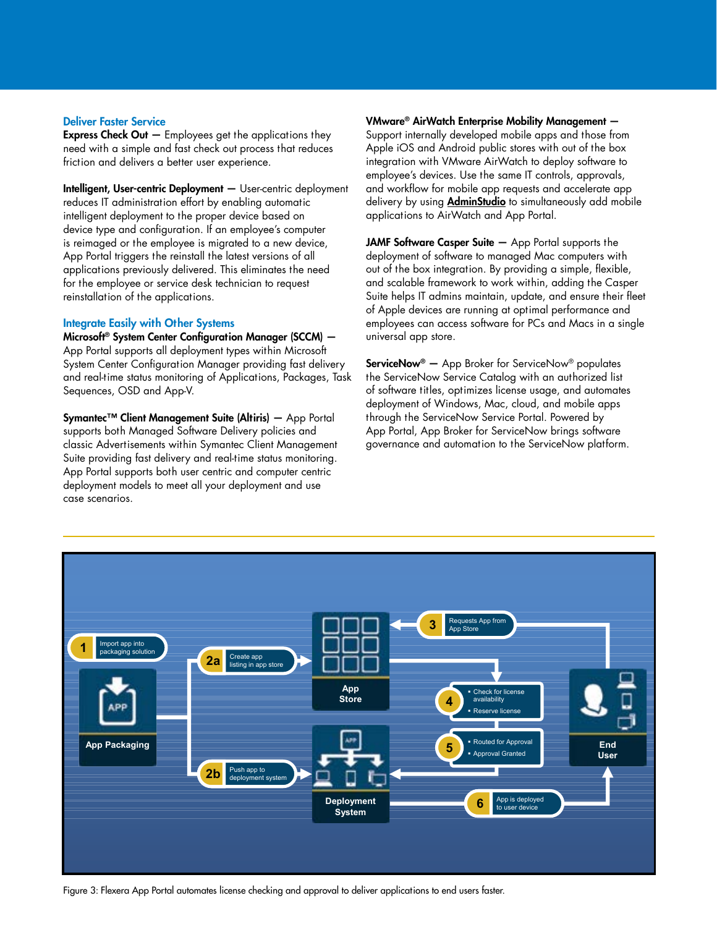### Deliver Faster Service

**Express Check Out**  $-$  Employees get the applications they need with a simple and fast check out process that reduces friction and delivers a better user experience.

Intelligent, User-centric Deployment — User-centric deployment reduces IT administration effort by enabling automatic intelligent deployment to the proper device based on device type and configuration. If an employee's computer is reimaged or the employee is migrated to a new device, App Portal triggers the reinstall the latest versions of all applications previously delivered. This eliminates the need for the employee or service desk technician to request reinstallation of the applications.

#### Integrate Easily with Other Systems

Microsoft® System Center Configuration Manager (SCCM) — App Portal supports all deployment types within Microsoft System Center Configuration Manager providing fast delivery and real-time status monitoring of Applications, Packages, Task Sequences, OSD and App-V.

Symantec™ Client Management Suite (Altiris) — App Portal supports both Managed Software Delivery policies and classic Advertisements within Symantec Client Management Suite providing fast delivery and real-time status monitoring. App Portal supports both user centric and computer centric deployment models to meet all your deployment and use case scenarios.

VMware® AirWatch Enterprise Mobility Management — Support internally developed mobile apps and those from Apple iOS and Android public stores with out of the box integration with VMware AirWatch to deploy software to employee's devices. Use the same IT controls, approvals, and workflow for mobile app requests and accelerate app delivery by using **AdminStudio** to simultaneously add mobile applications to AirWatch and App Portal.

JAMF Software Casper Suite  $-$  App Portal supports the deployment of software to managed Mac computers with out of the box integration. By providing a simple, flexible, and scalable framework to work within, adding the Casper Suite helps IT admins maintain, update, and ensure their fleet of Apple devices are running at optimal performance and employees can access software for PCs and Macs in a single universal app store.

ServiceNow® — App Broker for ServiceNow® populates the ServiceNow Service Catalog with an authorized list of software titles, optimizes license usage, and automates deployment of Windows, Mac, cloud, and mobile apps through the ServiceNow Service Portal. Powered by App Portal, App Broker for ServiceNow brings software governance and automation to the ServiceNow platform.



Figure 3: Flexera App Portal automates license checking and approval to deliver applications to end users faster.